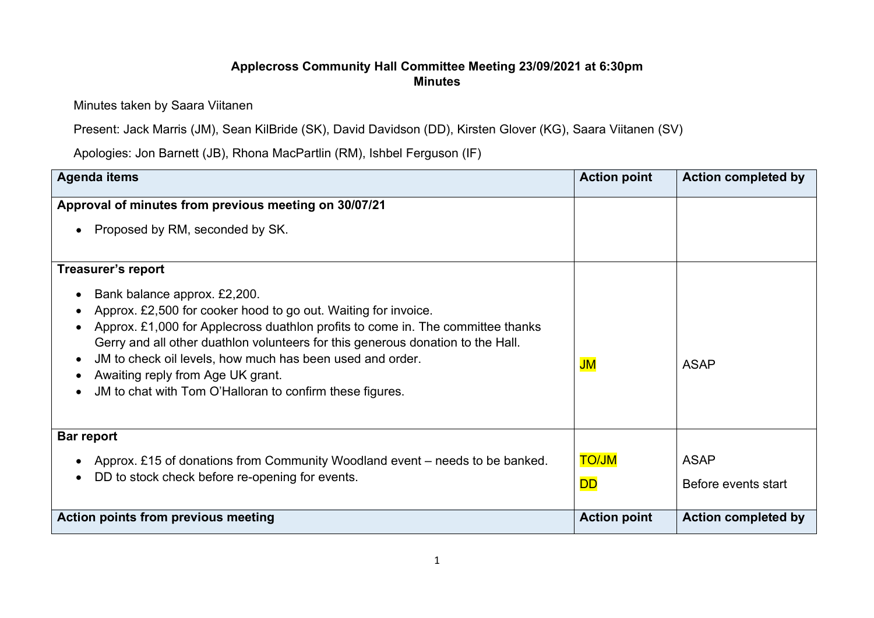## Applecross Community Hall Committee Meeting 23/09/2021 at 6:30pm Minutes

Minutes taken by Saara Viitanen

Present: Jack Marris (JM), Sean KilBride (SK), David Davidson (DD), Kirsten Glover (KG), Saara Viitanen (SV)

Apologies: Jon Barnett (JB), Rhona MacPartlin (RM), Ishbel Ferguson (IF)

| <b>Agenda items</b>                                                                                                                                                                                                                                                                                                                                                                                                                                                          | <b>Action point</b>       | <b>Action completed by</b>         |
|------------------------------------------------------------------------------------------------------------------------------------------------------------------------------------------------------------------------------------------------------------------------------------------------------------------------------------------------------------------------------------------------------------------------------------------------------------------------------|---------------------------|------------------------------------|
| Approval of minutes from previous meeting on 30/07/21                                                                                                                                                                                                                                                                                                                                                                                                                        |                           |                                    |
| Proposed by RM, seconded by SK.<br>$\bullet$                                                                                                                                                                                                                                                                                                                                                                                                                                 |                           |                                    |
| <b>Treasurer's report</b><br>Bank balance approx. £2,200.<br>Approx. £2,500 for cooker hood to go out. Waiting for invoice.<br>Approx. £1,000 for Applecross duathlon profits to come in. The committee thanks<br>Gerry and all other duathlon volunteers for this generous donation to the Hall.<br>JM to check oil levels, how much has been used and order.<br>$\bullet$<br>Awaiting reply from Age UK grant.<br>JM to chat with Tom O'Halloran to confirm these figures. | JM                        | <b>ASAP</b>                        |
| <b>Bar report</b><br>Approx. £15 of donations from Community Woodland event – needs to be banked.<br>DD to stock check before re-opening for events.                                                                                                                                                                                                                                                                                                                         | <b>NU/OT</b><br><b>DD</b> | <b>ASAP</b><br>Before events start |
| <b>Action points from previous meeting</b>                                                                                                                                                                                                                                                                                                                                                                                                                                   | <b>Action point</b>       | <b>Action completed by</b>         |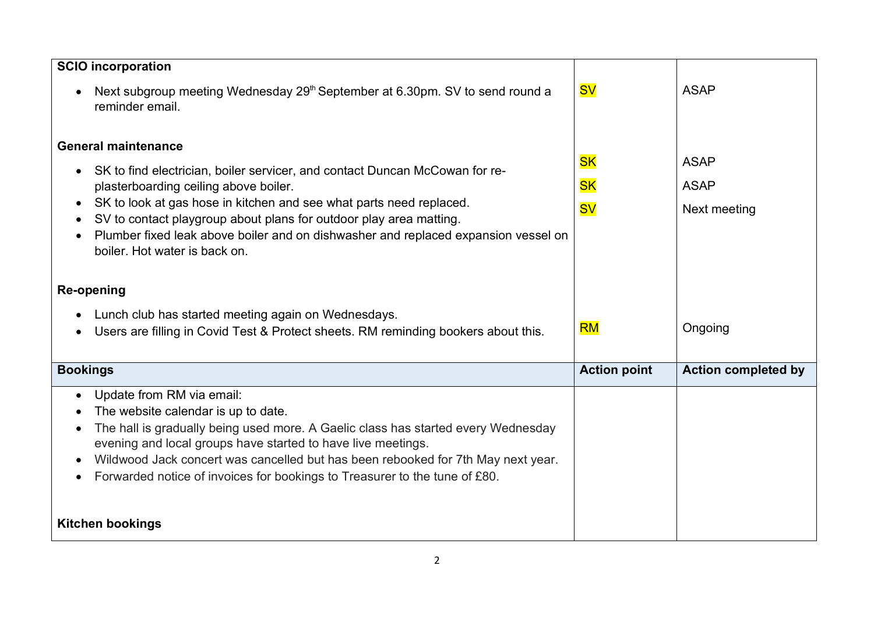| <b>SCIO incorporation</b>                                                                                                                                                                                                                                                                                                                                                                                                                         |                                     |                                            |
|---------------------------------------------------------------------------------------------------------------------------------------------------------------------------------------------------------------------------------------------------------------------------------------------------------------------------------------------------------------------------------------------------------------------------------------------------|-------------------------------------|--------------------------------------------|
| Next subgroup meeting Wednesday 29 <sup>th</sup> September at 6.30pm. SV to send round a<br>$\bullet$<br>reminder email.                                                                                                                                                                                                                                                                                                                          | <b>SV</b>                           | <b>ASAP</b>                                |
| <b>General maintenance</b><br>SK to find electrician, boiler servicer, and contact Duncan McCowan for re-<br>plasterboarding ceiling above boiler.<br>SK to look at gas hose in kitchen and see what parts need replaced.<br>$\bullet$<br>SV to contact playgroup about plans for outdoor play area matting.<br>Plumber fixed leak above boiler and on dishwasher and replaced expansion vessel on<br>boiler. Hot water is back on.<br>Re-opening | <b>SK</b><br><b>SK</b><br><b>SV</b> | <b>ASAP</b><br><b>ASAP</b><br>Next meeting |
| Lunch club has started meeting again on Wednesdays.<br>Users are filling in Covid Test & Protect sheets. RM reminding bookers about this.<br>$\bullet$                                                                                                                                                                                                                                                                                            | <b>RM</b>                           | Ongoing                                    |
| <b>Bookings</b>                                                                                                                                                                                                                                                                                                                                                                                                                                   | <b>Action point</b>                 | <b>Action completed by</b>                 |
| Update from RM via email:<br>$\bullet$<br>The website calendar is up to date.<br>The hall is gradually being used more. A Gaelic class has started every Wednesday<br>$\bullet$<br>evening and local groups have started to have live meetings.<br>Wildwood Jack concert was cancelled but has been rebooked for 7th May next year.<br>$\bullet$<br>Forwarded notice of invoices for bookings to Treasurer to the tune of £80.<br>$\bullet$       |                                     |                                            |
| <b>Kitchen bookings</b>                                                                                                                                                                                                                                                                                                                                                                                                                           |                                     |                                            |